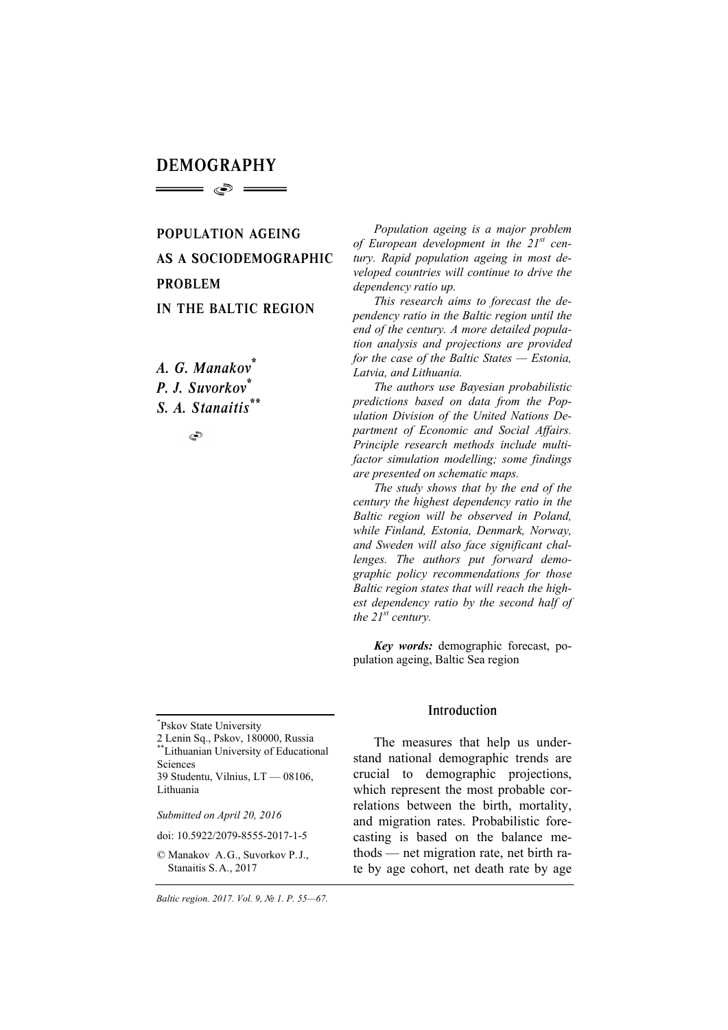# DEMOGRAPHY  $\implies$   $\circ$   $\implies$

POPULATION AGEING AS A SOCIODEMOGRAPHIC PROBLEM IN THE BALTIC REGION

*A. G. Manakov\* P. J. Suvorkov\* S. A. Stanaitis\*\**

٩

\* Pskov State University

2 Lenin Sq., Pskov, 180000, Russia \*\*Lithuanian University of Educational Sciences 39 Studentu, Vilnius, LT — 08106,

*Submitted on April 20, 2016* 

Lithuania

doi: 10.5922/2079-8555-2017-1-5

© Manakov A.G., Suvorkov P.J., Stanaitis S.А., 2017

*Baltic region. 2017. Vol. 9, № 1. P. 55—67.* 

*Population ageing is a major problem of European development in the 21st century. Rapid population ageing in most developed countries will continue to drive the dependency ratio up.* 

*This research aims to forecast the dependency ratio in the Baltic region until the end of the century. A more detailed population analysis and projections are provided for the case of the Baltic States — Estonia, Latvia, and Lithuania.* 

*The authors use Bayesian probabilistic predictions based on data from the Population Division of the United Nations Department of Economic and Social Affairs. Principle research methods include multifactor simulation modelling; some findings are presented on schematic maps.* 

*The study shows that by the end of the century the highest dependency ratio in the Baltic region will be observed in Poland, while Finland, Estonia, Denmark, Norway, and Sweden will also face significant challenges. The authors put forward demographic policy recommendations for those Baltic region states that will reach the highest dependency ratio by the second half of the 21st century.* 

*Key words:* demographic forecast, population ageing, Baltic Sea region

### Introduction

The measures that help us understand national demographic trends are crucial to demographic projections, which represent the most probable correlations between the birth, mortality, and migration rates. Probabilistic forecasting is based on the balance methods — net migration rate, net birth rate by age cohort, net death rate by age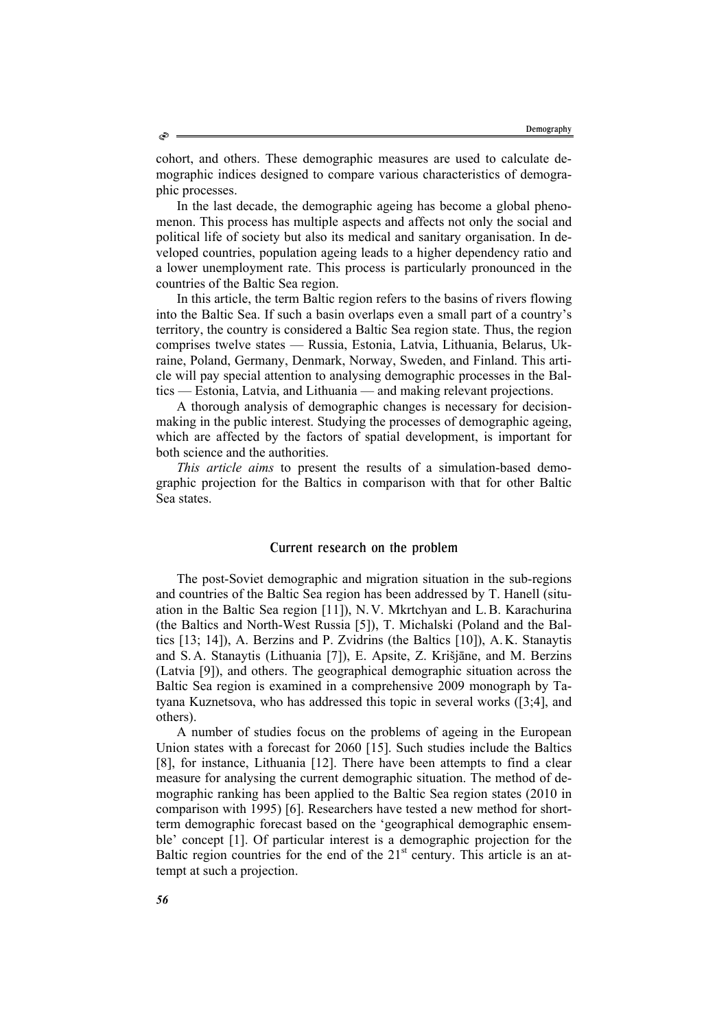cohort, and others. These demographic measures are used to calculate demographic indices designed to compare various characteristics of demographic processes.

In the last decade, the demographic ageing has become a global phenomenon. This process has multiple aspects and affects not only the social and political life of society but also its medical and sanitary organisation. In developed countries, population ageing leads to a higher dependency ratio and a lower unemployment rate. This process is particularly pronounced in the countries of the Baltic Sea region.

In this article, the term Baltic region refers to the basins of rivers flowing into the Baltic Sea. If such a basin overlaps even a small part of a country's territory, the country is considered a Baltic Sea region state. Thus, the region comprises twelve states — Russia, Estonia, Latvia, Lithuania, Belarus, Ukraine, Poland, Germany, Denmark, Norway, Sweden, and Finland. This article will pay special attention to analysing demographic processes in the Baltics — Estonia, Latvia, and Lithuania — and making relevant projections.

A thorough analysis of demographic changes is necessary for decisionmaking in the public interest. Studying the processes of demographic ageing, which are affected by the factors of spatial development, is important for both science and the authorities.

*This article aims* to present the results of a simulation-based demographic projection for the Baltics in comparison with that for other Baltic Sea states.

### Current research on the problem

The post-Soviet demographic and migration situation in the sub-regions and countries of the Baltic Sea region has been addressed by T. Hanell (situation in the Baltic Sea region [11]), N.V. Mkrtchyan and L.B. Karachurina (the Baltics and North-West Russia [5]), T. Michalski (Poland and the Baltics [13; 14]), A. Berzins and P. Zvidrins (the Baltics [10]), A.K. Stanaytis and S.A. Stanaytis (Lithuania [7]), E. Apsite, Z. Krišjāne, and M. Berzins (Latvia [9]), and others. The geographical demographic situation across the Baltic Sea region is examined in a comprehensive 2009 monograph by Tatyana Kuznetsova, who has addressed this topic in several works ([3;4], and others).

A number of studies focus on the problems of ageing in the European Union states with a forecast for 2060 [15]. Such studies include the Baltics [8], for instance, Lithuania [12]. There have been attempts to find a clear measure for analysing the current demographic situation. The method of demographic ranking has been applied to the Baltic Sea region states (2010 in comparison with 1995) [6]. Researchers have tested a new method for shortterm demographic forecast based on the 'geographical demographic ensemble' concept [1]. Of particular interest is a demographic projection for the Baltic region countries for the end of the  $21<sup>st</sup>$  century. This article is an attempt at such a projection.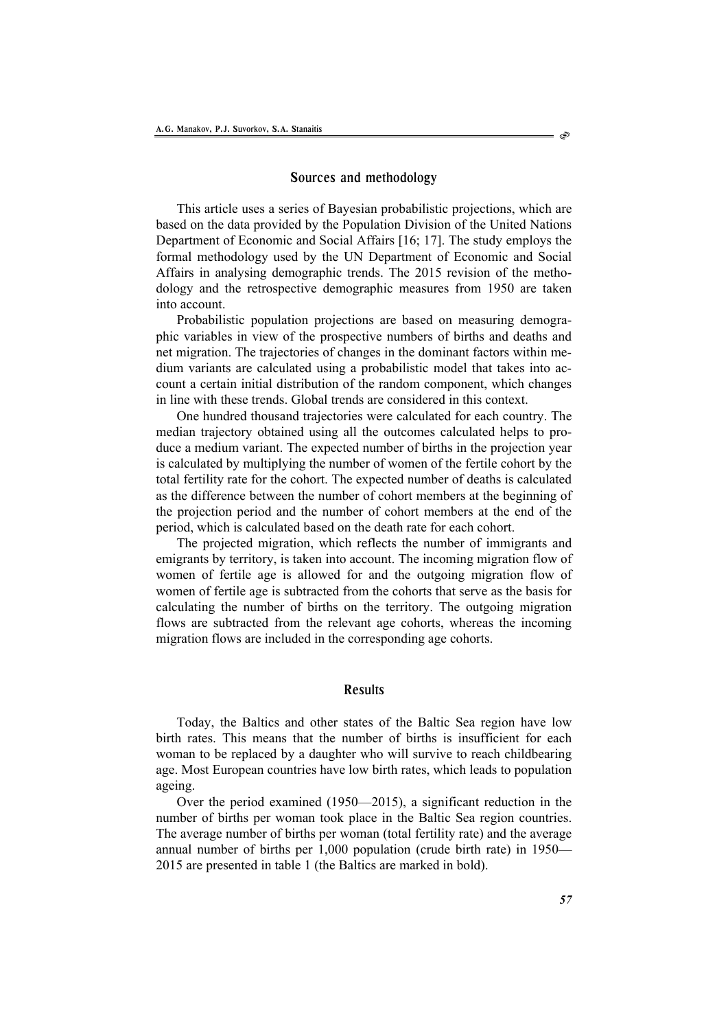#### Sources and methodology

This article uses a series of Bayesian probabilistic projections, which are based on the data provided by the Population Division of the United Nations Department of Economic and Social Affairs [16; 17]. The study employs the formal methodology used by the UN Department of Economic and Social Affairs in analysing demographic trends. The 2015 revision of the methodology and the retrospective demographic measures from 1950 are taken into account.

Probabilistic population projections are based on measuring demographic variables in view of the prospective numbers of births and deaths and net migration. The trajectories of changes in the dominant factors within medium variants are calculated using a probabilistic model that takes into account a certain initial distribution of the random component, which changes in line with these trends. Global trends are considered in this context.

One hundred thousand trajectories were calculated for each country. The median trajectory obtained using all the outcomes calculated helps to produce a medium variant. The expected number of births in the projection year is calculated by multiplying the number of women of the fertile cohort by the total fertility rate for the cohort. The expected number of deaths is calculated as the difference between the number of cohort members at the beginning of the projection period and the number of cohort members at the end of the period, which is calculated based on the death rate for each cohort.

The projected migration, which reflects the number of immigrants and emigrants by territory, is taken into account. The incoming migration flow of women of fertile age is allowed for and the outgoing migration flow of women of fertile age is subtracted from the cohorts that serve as the basis for calculating the number of births on the territory. The outgoing migration flows are subtracted from the relevant age cohorts, whereas the incoming migration flows are included in the corresponding age cohorts.

# Results

Today, the Baltics and other states of the Baltic Sea region have low birth rates. This means that the number of births is insufficient for each woman to be replaced by a daughter who will survive to reach childbearing age. Most European countries have low birth rates, which leads to population ageing.

Over the period examined (1950—2015), a significant reduction in the number of births per woman took place in the Baltic Sea region countries. The average number of births per woman (total fertility rate) and the average annual number of births per 1,000 population (crude birth rate) in 1950— 2015 are presented in table 1 (the Baltics are marked in bold).

ో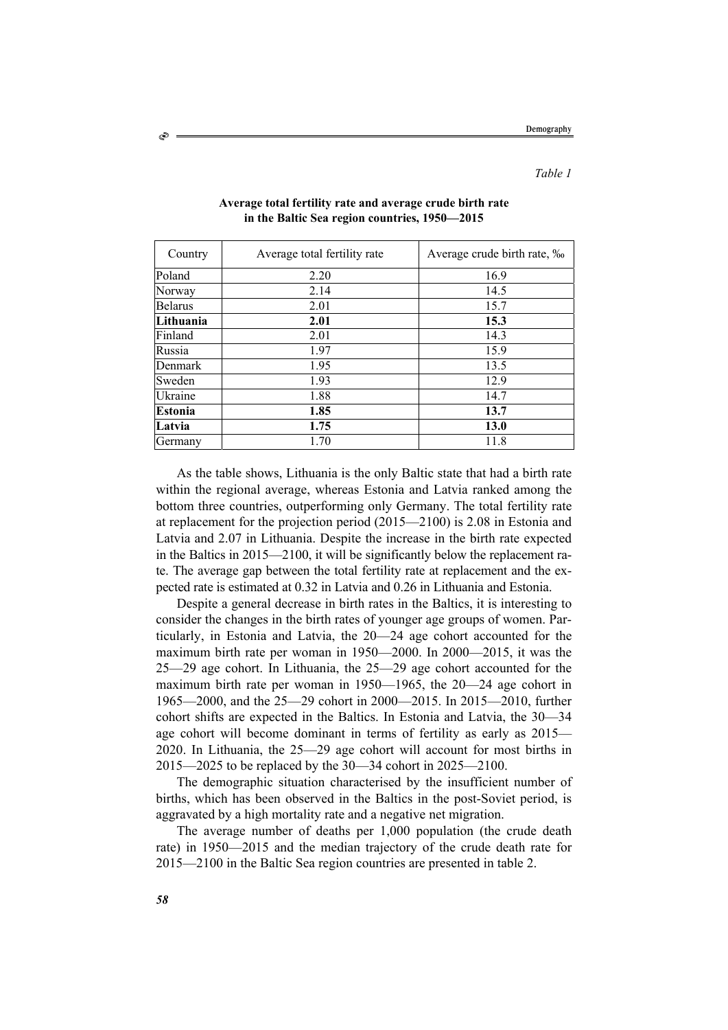*Table 1*

| Country        | Average total fertility rate | Average crude birth rate, ‰ |
|----------------|------------------------------|-----------------------------|
| Poland         | 2.20                         | 16.9                        |
| Norway         | 2.14                         | 14.5                        |
| <b>Belarus</b> | 2.01                         | 15.7                        |
| Lithuania      | 2.01                         | 15.3                        |
| Finland        | 2.01                         | 14.3                        |
| Russia         | 1.97                         | 15.9                        |
| Denmark        | 1.95                         | 13.5                        |
| Sweden         | 1.93                         | 12.9                        |
| Ukraine        | 1.88                         | 14.7                        |
| Estonia        | 1.85                         | 13.7                        |
| Latvia         | 1.75                         | 13.0                        |
| Germany        | 1.70                         | 11.8                        |

### **Average total fertility rate and average crude birth rate in the Baltic Sea region countries, 1950—2015**

As the table shows, Lithuania is the only Baltic state that had a birth rate within the regional average, whereas Estonia and Latvia ranked among the bottom three countries, outperforming only Germany. The total fertility rate at replacement for the projection period (2015—2100) is 2.08 in Estonia and Latvia and 2.07 in Lithuania. Despite the increase in the birth rate expected in the Baltics in 2015—2100, it will be significantly below the replacement rate. The average gap between the total fertility rate at replacement and the expected rate is estimated at 0.32 in Latvia and 0.26 in Lithuania and Estonia.

Despite a general decrease in birth rates in the Baltics, it is interesting to consider the changes in the birth rates of younger age groups of women. Particularly, in Estonia and Latvia, the 20—24 age cohort accounted for the maximum birth rate per woman in 1950—2000. In 2000—2015, it was the 25—29 age cohort. In Lithuania, the 25—29 age cohort accounted for the maximum birth rate per woman in 1950—1965, the 20—24 age cohort in 1965—2000, and the 25—29 cohort in 2000—2015. In 2015—2010, further cohort shifts are expected in the Baltics. In Estonia and Latvia, the 30—34 age cohort will become dominant in terms of fertility as early as 2015— 2020. In Lithuania, the 25—29 age cohort will account for most births in 2015—2025 to be replaced by the 30—34 cohort in 2025—2100.

The demographic situation characterised by the insufficient number of births, which has been observed in the Baltics in the post-Soviet period, is aggravated by a high mortality rate and a negative net migration.

The average number of deaths per 1,000 population (the crude death rate) in 1950—2015 and the median trajectory of the crude death rate for 2015—2100 in the Baltic Sea region countries are presented in table 2.

Š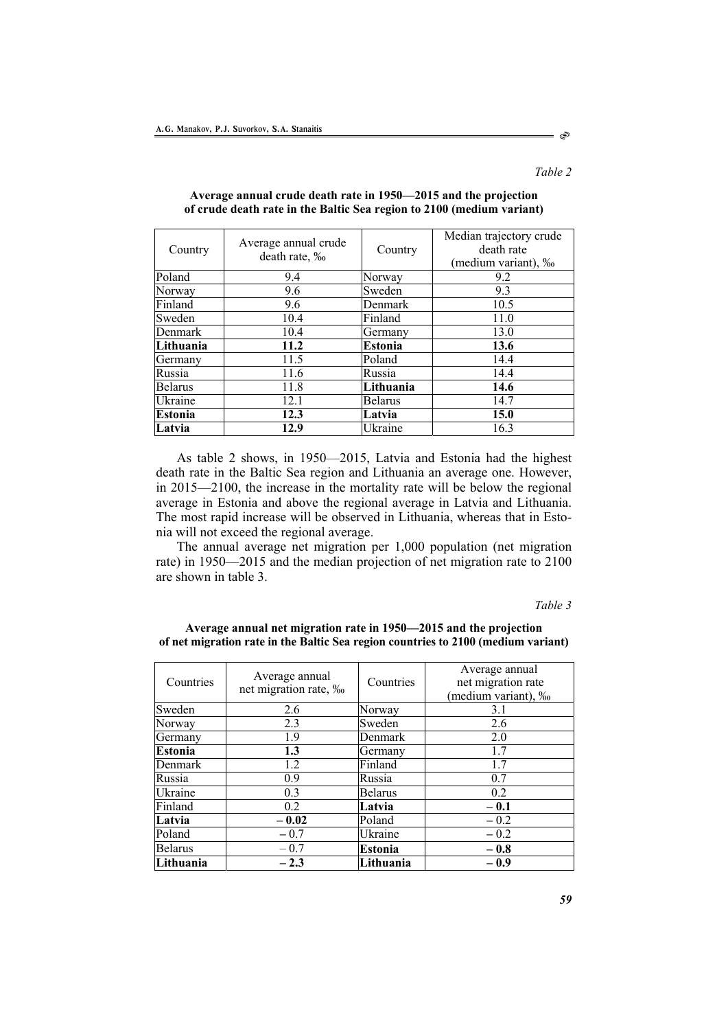*Table 2*

Ò

| Country        | Average annual crude<br>death rate, ‰ | Country        | Median trajectory crude<br>death rate<br>(medium variant), ‰ |
|----------------|---------------------------------------|----------------|--------------------------------------------------------------|
| Poland         | 9.4                                   | Norway         | 9.2                                                          |
| Norway         | 9.6                                   | Sweden         | 9.3                                                          |
| Finland        | 9.6                                   | Denmark        | 10.5                                                         |
| Sweden         | 10.4                                  | Finland        | 11.0                                                         |
| Denmark        | 10.4                                  | Germany        | 13.0                                                         |
| Lithuania      | 11.2                                  | Estonia        | 13.6                                                         |
| Germany        | 11.5                                  | Poland         | 14.4                                                         |
| Russia         | 11.6                                  | Russia         | 14.4                                                         |
| <b>Belarus</b> | 11.8                                  | Lithuania      | 14.6                                                         |
| Ukraine        | 12.1                                  | <b>Belarus</b> | 14.7                                                         |
| <b>Estonia</b> | 12.3                                  | Latvia         | 15.0                                                         |
| Latvia         | 12.9                                  | Ukraine        | 16.3                                                         |

## **Average annual crude death rate in 1950—2015 and the projection of crude death rate in the Baltic Sea region to 2100 (medium variant)**

As table 2 shows, in 1950—2015, Latvia and Estonia had the highest death rate in the Baltic Sea region and Lithuania an average one. However, in 2015—2100, the increase in the mortality rate will be below the regional average in Estonia and above the regional average in Latvia and Lithuania. The most rapid increase will be observed in Lithuania, whereas that in Estonia will not exceed the regional average.

The annual average net migration per 1,000 population (net migration rate) in 1950—2015 and the median projection of net migration rate to 2100 are shown in table 3.

#### *Table 3*

**Average annual net migration rate in 1950—2015 and the projection of net migration rate in the Baltic Sea region countries to 2100 (medium variant)** 

| Countries      | Average annual<br>net migration rate, ‰ | Countries      | Average annual<br>net migration rate<br>(medium variant), ‰ |
|----------------|-----------------------------------------|----------------|-------------------------------------------------------------|
| Sweden         | 2.6                                     | Norway         | 3.1                                                         |
| Norway         | 2.3                                     | Sweden         | 2.6                                                         |
| Germany        | 1.9                                     | Denmark        | 2.0                                                         |
| <b>Estonia</b> | 1.3                                     | Germany        | 1.7                                                         |
| Denmark        | 1.2                                     | Finland        | 1.7                                                         |
| Russia         | 0.9                                     | Russia         | 0.7                                                         |
| Ukraine        | 0.3                                     | <b>Belarus</b> | 0.2                                                         |
| Finland        | 0.2                                     | Latvia         | $-0.1$                                                      |
| Latvia         | $-0.02$                                 | Poland         | $-0.2$                                                      |
| Poland         | $-0.7$                                  | Ukraine        | $-0.2$                                                      |
| <b>Belarus</b> | $-0.7$                                  | <b>Estonia</b> | $-0.8$                                                      |
| Lithuania      | $-2.3$                                  | Lithuania      | $-0.9$                                                      |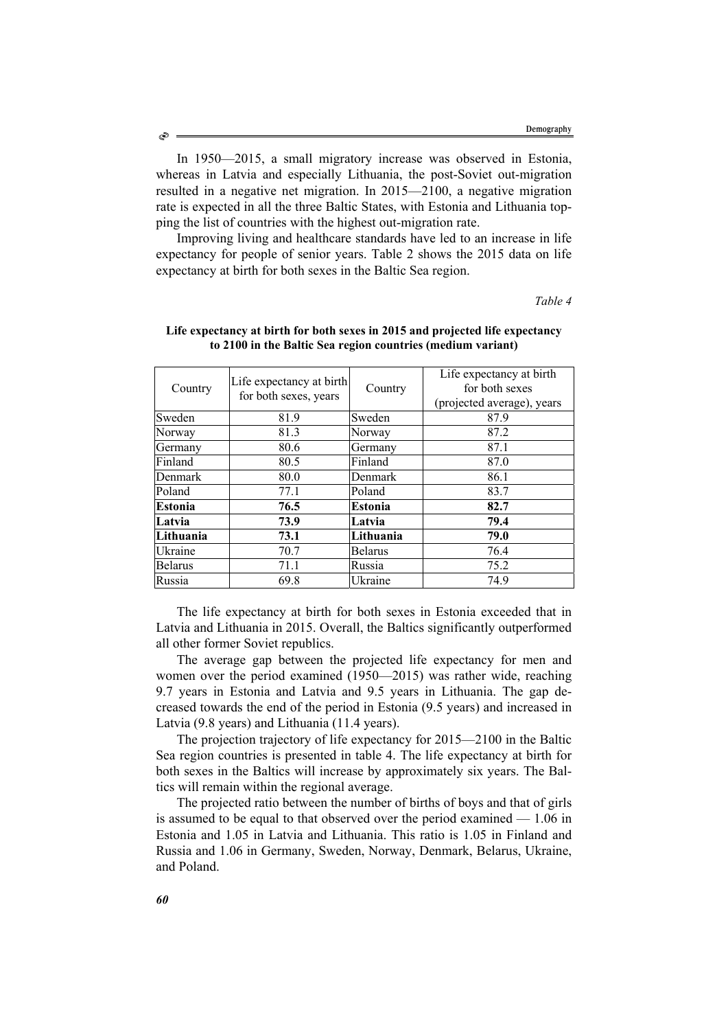In 1950—2015, a small migratory increase was observed in Estonia, whereas in Latvia and especially Lithuania, the post-Soviet out-migration resulted in a negative net migration. In 2015—2100, a negative migration rate is expected in all the three Baltic States, with Estonia and Lithuania topping the list of countries with the highest out-migration rate.

Improving living and healthcare standards have led to an increase in life expectancy for people of senior years. Table 2 shows the 2015 data on life expectancy at birth for both sexes in the Baltic Sea region.

*Table 4*

| Country        | Life expectancy at birth<br>for both sexes, years | Country        | Life expectancy at birth<br>for both sexes<br>(projected average), years |
|----------------|---------------------------------------------------|----------------|--------------------------------------------------------------------------|
| Sweden         | 81.9                                              | Sweden         | 87.9                                                                     |
| Norway         | 81.3                                              | Norway         | 87.2                                                                     |
| Germany        | 80.6                                              | Germany        | 87.1                                                                     |
| Finland        | 80.5                                              | Finland        | 87.0                                                                     |
| Denmark        | 80.0                                              | Denmark        | 86.1                                                                     |
| Poland         | 77.1                                              | Poland         | 83.7                                                                     |
| Estonia        | 76.5                                              | <b>Estonia</b> | 82.7                                                                     |
| Latvia         | 73.9                                              | Latvia         | 79.4                                                                     |
| Lithuania      | 73.1                                              | Lithuania      | 79.0                                                                     |
| Ukraine        | 70.7                                              | <b>Belarus</b> | 76.4                                                                     |
| <b>Belarus</b> | 71.1                                              | Russia         | 75.2                                                                     |
| Russia         | 69.8                                              | Ukraine        | 74.9                                                                     |

# **Life expectancy at birth for both sexes in 2015 and projected life expectancy to 2100 in the Baltic Sea region countries (medium variant)**

The life expectancy at birth for both sexes in Estonia exceeded that in Latvia and Lithuania in 2015. Overall, the Baltics significantly outperformed all other former Soviet republics.

The average gap between the projected life expectancy for men and women over the period examined (1950—2015) was rather wide, reaching 9.7 years in Estonia and Latvia and 9.5 years in Lithuania. The gap decreased towards the end of the period in Estonia (9.5 years) and increased in Latvia (9.8 years) and Lithuania (11.4 years).

The projection trajectory of life expectancy for 2015—2100 in the Baltic Sea region countries is presented in table 4. The life expectancy at birth for both sexes in the Baltics will increase by approximately six years. The Baltics will remain within the regional average.

The projected ratio between the number of births of boys and that of girls is assumed to be equal to that observed over the period examined — 1.06 in Estonia and 1.05 in Latvia and Lithuania. This ratio is 1.05 in Finland and Russia and 1.06 in Germany, Sweden, Norway, Denmark, Belarus, Ukraine, and Poland.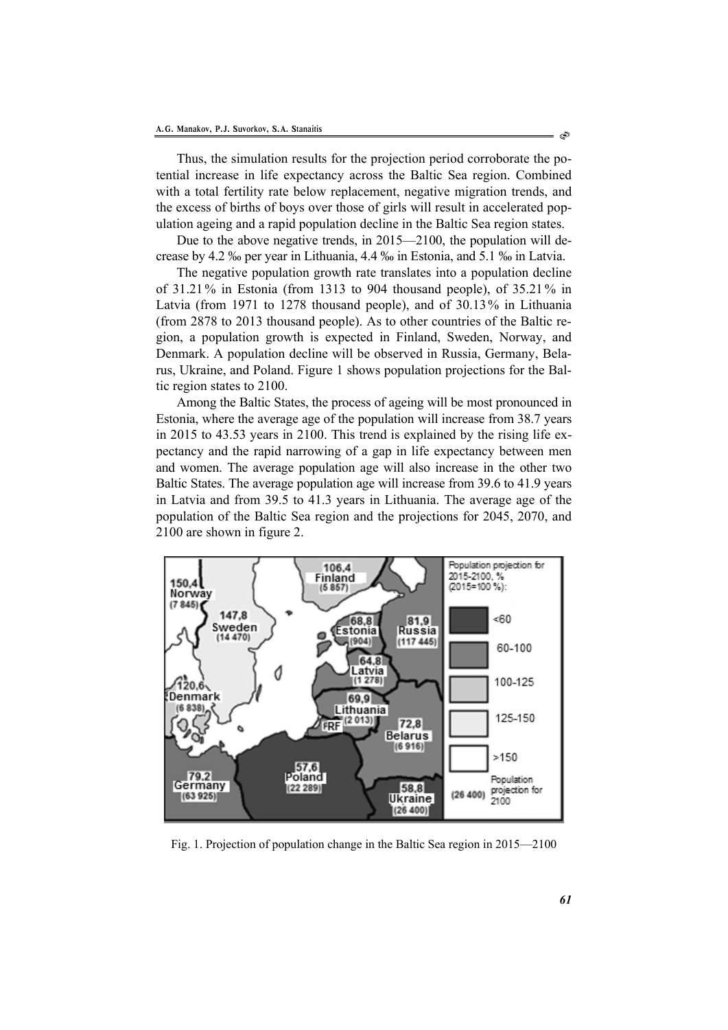Thus, the simulation results for the projection period corroborate the potential increase in life expectancy across the Baltic Sea region. Combined with a total fertility rate below replacement, negative migration trends, and the excess of births of boys over those of girls will result in accelerated population ageing and a rapid population decline in the Baltic Sea region states.

Due to the above negative trends, in 2015—2100, the population will decrease by 4.2 ‰ per year in Lithuania, 4.4 ‰ in Estonia, and 5.1 ‰ in Latvia.

The negative population growth rate translates into a population decline of 31.21 % in Estonia (from 1313 to 904 thousand people), of 35.21 % in Latvia (from 1971 to 1278 thousand people), and of 30.13% in Lithuania (from 2878 to 2013 thousand people). As to other countries of the Baltic region, a population growth is expected in Finland, Sweden, Norway, and Denmark. A population decline will be observed in Russia, Germany, Belarus, Ukraine, and Poland. Figure 1 shows population projections for the Baltic region states to 2100.

Among the Baltic States, the process of ageing will be most pronounced in Estonia, where the average age of the population will increase from 38.7 years in 2015 to 43.53 years in 2100. This trend is explained by the rising life expectancy and the rapid narrowing of a gap in life expectancy between men and women. The average population age will also increase in the other two Baltic States. The average population age will increase from 39.6 to 41.9 years in Latvia and from 39.5 to 41.3 years in Lithuania. The average age of the population of the Baltic Sea region and the projections for 2045, 2070, and 2100 are shown in figure 2.



Fig. 1. Projection of population change in the Baltic Sea region in 2015—2100

්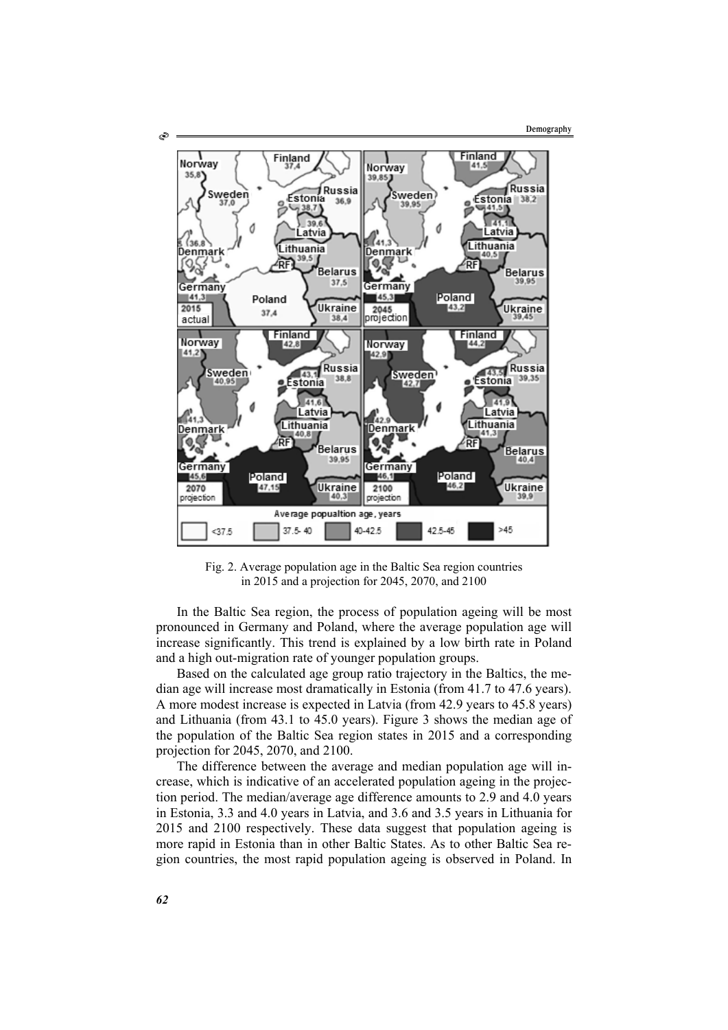

Fig. 2. Average population age in the Baltic Sea region countries in 2015 and a projection for 2045, 2070, and 2100

In the Baltic Sea region, the process of population ageing will be most pronounced in Germany and Poland, where the average population age will increase significantly. This trend is explained by a low birth rate in Poland and a high out-migration rate of younger population groups.

Based on the calculated age group ratio trajectory in the Baltics, the median age will increase most dramatically in Estonia (from 41.7 to 47.6 years). A more modest increase is expected in Latvia (from 42.9 years to 45.8 years) and Lithuania (from 43.1 to 45.0 years). Figure 3 shows the median age of the population of the Baltic Sea region states in 2015 and a corresponding projection for 2045, 2070, and 2100.

The difference between the average and median population age will increase, which is indicative of an accelerated population ageing in the projection period. The median/average age difference amounts to 2.9 and 4.0 years in Estonia, 3.3 and 4.0 years in Latvia, and 3.6 and 3.5 years in Lithuania for 2015 and 2100 respectively. These data suggest that population ageing is more rapid in Estonia than in other Baltic States. As to other Baltic Sea region countries, the most rapid population ageing is observed in Poland. In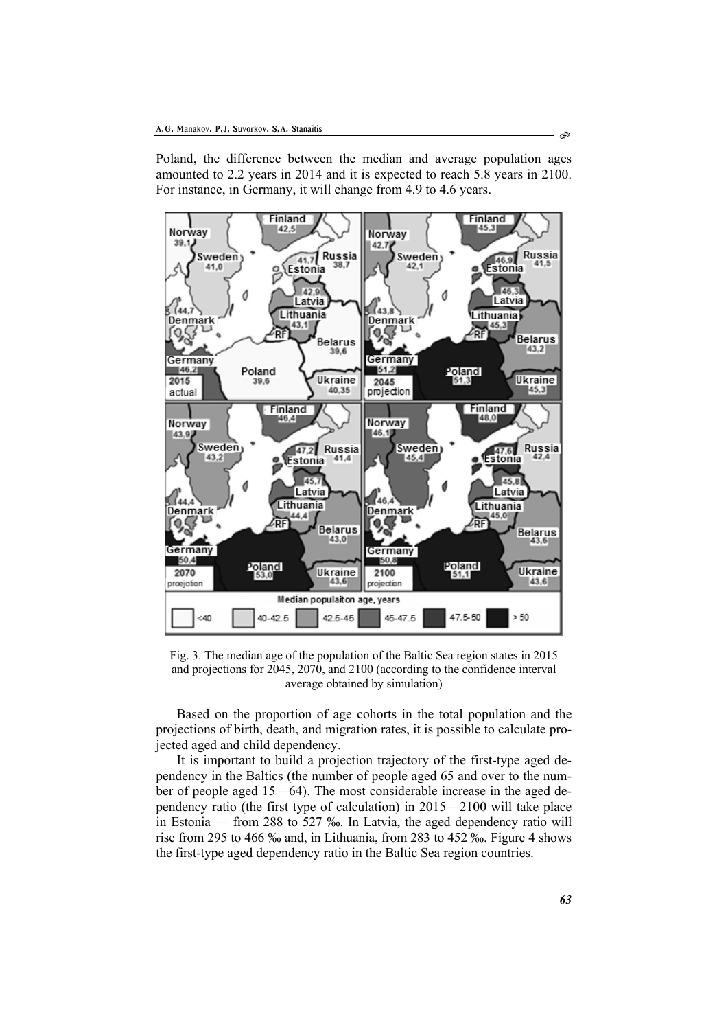Poland, the difference between the median and average population ages amounted to 2.2 years in 2014 and it is expected to reach 5.8 years in 2100. For instance, in Germany, it will change from 4.9 to 4.6 years.



Fig. 3. The median age of the population of the Baltic Sea region states in 2015 and projections for 2045, 2070, and 2100 (according to the confidence interval average obtained by simulation)

Based on the proportion of age cohorts in the total population and the projections of birth, death, and migration rates, it is possible to calculate projected aged and child dependency.

It is important to build a projection trajectory of the first-type aged dependency in the Baltics (the number of people aged 65 and over to the number of people aged 15—64). The most considerable increase in the aged dependency ratio (the first type of calculation) in 2015—2100 will take place in Estonia — from 288 to 527 ‰. In Latvia, the aged dependency ratio will rise from 295 to 466 ‰ and, in Lithuania, from 283 to 452 ‰. Figure 4 shows the first-type aged dependency ratio in the Baltic Sea region countries.

ఉ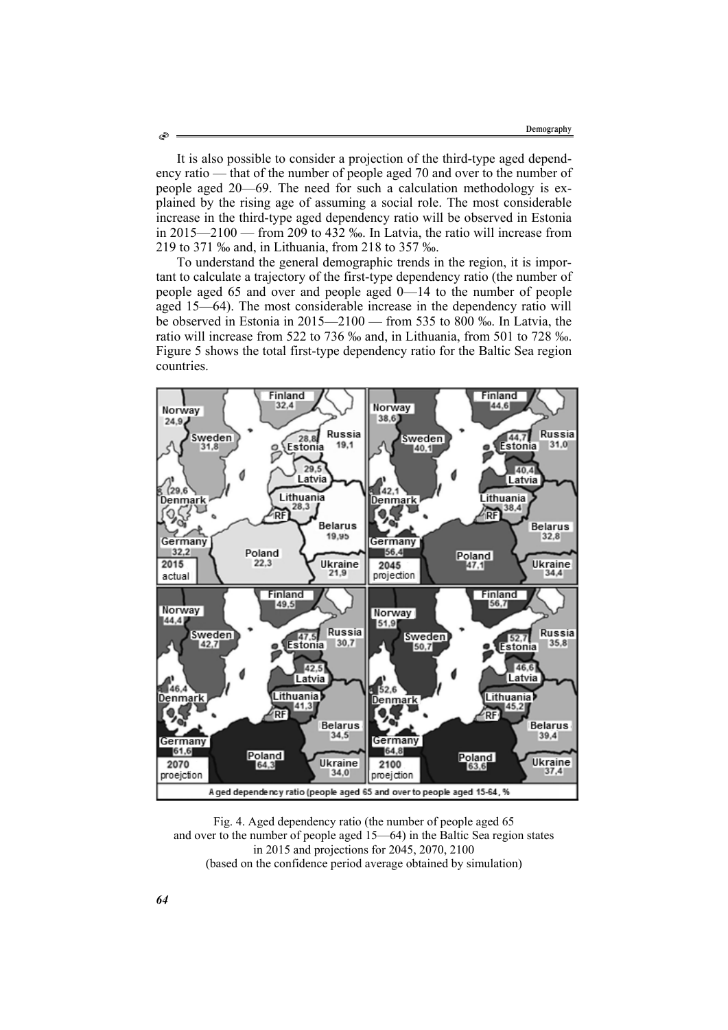It is also possible to consider a projection of the third-type aged dependency ratio — that of the number of people aged 70 and over to the number of people aged 20—69. The need for such a calculation methodology is explained by the rising age of assuming a social role. The most considerable increase in the third-type aged dependency ratio will be observed in Estonia in 2015—2100 — from 209 to 432 ‰. In Latvia, the ratio will increase from 219 to 371 ‰ and, in Lithuania, from 218 to 357 ‰.

To understand the general demographic trends in the region, it is important to calculate a trajectory of the first-type dependency ratio (the number of people aged 65 and over and people aged 0—14 to the number of people aged 15—64). The most considerable increase in the dependency ratio will be observed in Estonia in 2015—2100 — from 535 to 800 ‰. In Latvia, the ratio will increase from 522 to 736 ‰ and, in Lithuania, from 501 to 728 ‰. Figure 5 shows the total first-type dependency ratio for the Baltic Sea region countries.



Fig. 4. Aged dependency ratio (the number of people aged 65 and over to the number of people aged 15—64) in the Baltic Sea region states in 2015 and projections for 2045, 2070, 2100 (based on the confidence period average obtained by simulation)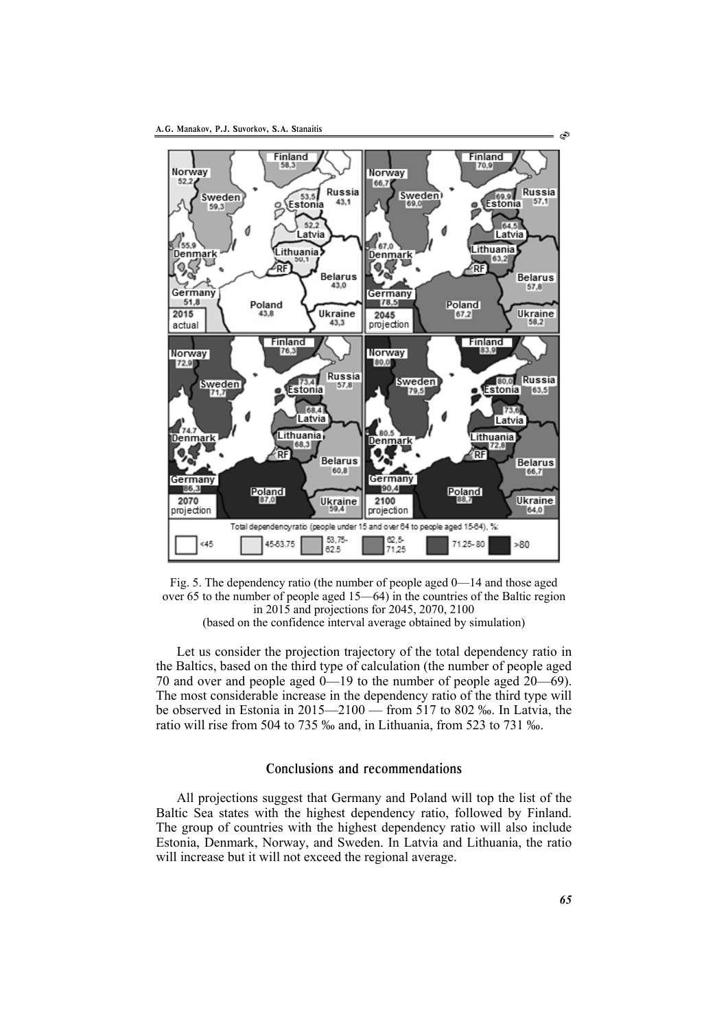



Let us consider the projection trajectory of the total dependency ratio in the Baltics, based on the third type of calculation (the number of people aged 70 and over and people aged 0—19 to the number of people aged 20—69). The most considerable increase in the dependency ratio of the third type will be observed in Estonia in 2015—2100 — from 517 to 802 ‰. In Latvia, the ratio will rise from 504 to 735 ‰ and, in Lithuania, from 523 to 731 ‰.

# Conclusions and recommendations

All projections suggest that Germany and Poland will top the list of the Baltic Sea states with the highest dependency ratio, followed by Finland. The group of countries with the highest dependency ratio will also include Estonia, Denmark, Norway, and Sweden. In Latvia and Lithuania, the ratio will increase but it will not exceed the regional average.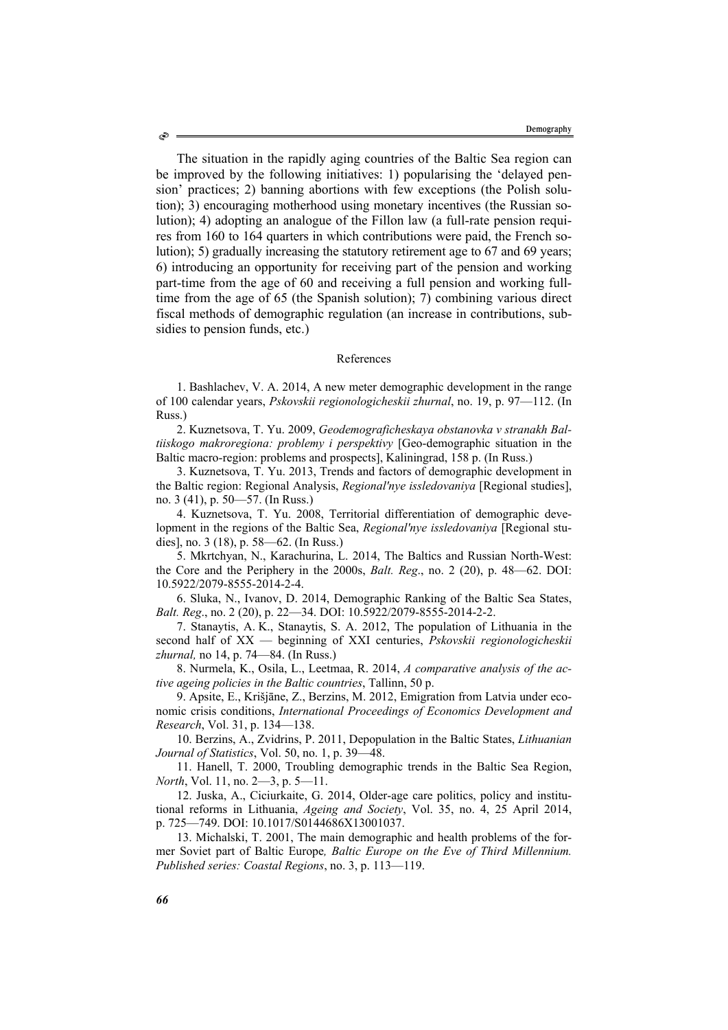The situation in the rapidly aging countries of the Baltic Sea region can be improved by the following initiatives: 1) popularising the 'delayed pension' practices; 2) banning abortions with few exceptions (the Polish solution); 3) encouraging motherhood using monetary incentives (the Russian solution); 4) adopting an analogue of the Fillon law (a full-rate pension requires from 160 to 164 quarters in which contributions were paid, the French solution); 5) gradually increasing the statutory retirement age to 67 and 69 years; 6) introducing an opportunity for receiving part of the pension and working part-time from the age of 60 and receiving a full pension and working fulltime from the age of 65 (the Spanish solution); 7) combining various direct fiscal methods of demographic regulation (an increase in contributions, subsidies to pension funds, etc.)

#### References

1. Bashlachev, V. А. 2014, A new meter demographic development in the range of 100 calendar years, *Pskovskii regionologicheskii zhurnal*, no. 19, p. 97—112. (In Russ.)

2. Kuznetsova, Т. Yu. 2009, *Geodemograficheskaya obstanovka v stranakh Baltiiskogo makroregiona: problemy i perspektivy* [Geo-demographic situation in the Baltic macro-region: problems and prospects], Kaliningrad, 158 p. (In Russ.)

3. Kuznetsova, Т. Yu. 2013, Trends and factors of demographic development in the Baltic region: Regional Analysis, *Regional'nye issledovaniya* [Regional studies], no. 3 (41), p. 50—57. (In Russ.)

4. Kuznetsova, Т. Yu. 2008, Territorial differentiation of demographic development in the regions of the Baltic Sea, *Regional'nye issledovaniya* [Regional studies], no. 3 (18), p. 58—62. (In Russ.)

5. Mkrtchyan, N., Karachurina, L. 2014, The Baltics and Russian North-West: the Core and the Periphery in the 2000s, *Balt. Reg*., no. 2 (20), p. 48—62. DOI: 10.5922/2079-8555-2014-2-4.

6. Sluka, N., Ivanov, D. 2014, Demographic Ranking of the Baltic Sea States, *Balt. Reg*., no. 2 (20), p. 22—34. DOI: 10.5922/2079-8555-2014-2-2.

7. Stanaytis, А. K., Stanaytis, S. A. 2012, The population of Lithuania in the second half of XX — beginning of XXI centuries, *Pskovskii regionologicheskii zhurnal,* no 14, p. 74—84. (In Russ.)

8. Nurmela, K., Osila, L., Leetmaa, R. 2014, *A comparative analysis of the active ageing policies in the Baltic countries*, Tallinn, 50 p.

9. Apsite, E., Krišjāne, Z., Berzins, M. 2012, Emigration from Latvia under economic crisis conditions, *International Proceedings of Economics Development and Research*, Vol. 31, p. 134—138.

10. Berzins, A., Zvidrins, P. 2011, Depopulation in the Baltic States, *Lithuanian Journal of Statistics*, Vol. 50, no. 1, p. 39—48.

11. Hanell, T. 2000, Troubling demographic trends in the Baltic Sea Region, *North*, Vol. 11, no. 2—3, p. 5—11.

12. Juska, A., Ciciurkaite, G. 2014, Older-age care politics, policy and institutional reforms in Lithuania, *Ageing and Society*, Vol. 35, no. 4, 25 April 2014, p. 725—749. DOI: 10.1017/S0144686X13001037.

13. Michalski, T. 2001, The main demographic and health problems of the former Soviet part of Baltic Europe*, Baltic Europe on the Eve of Third Millennium. Published series: Coastal Regions*, no. 3, p. 113—119.